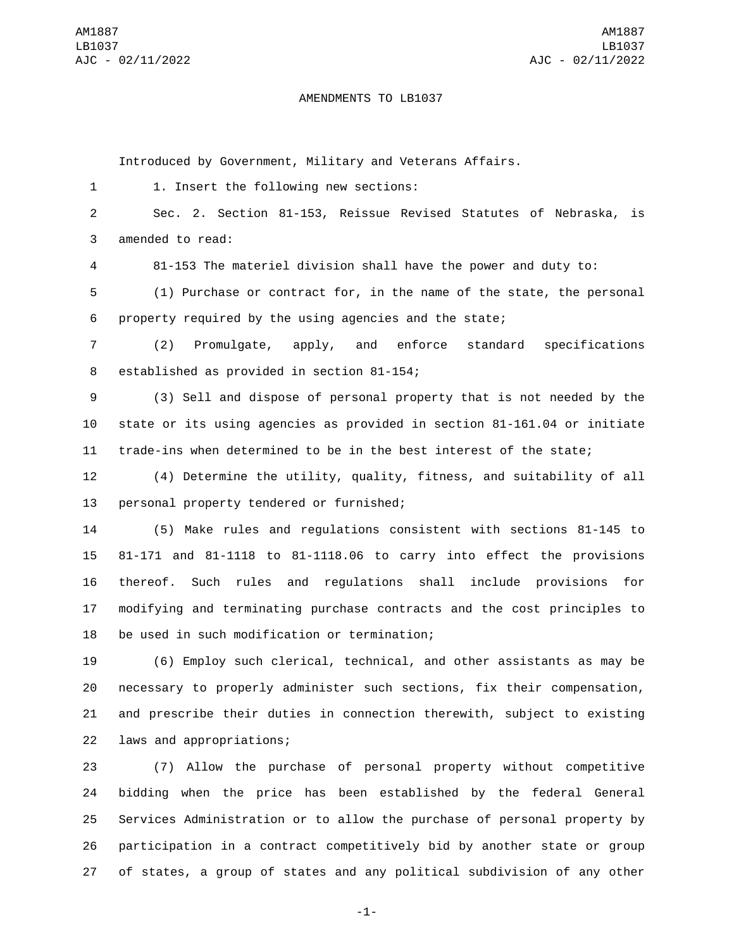## AMENDMENTS TO LB1037

Introduced by Government, Military and Veterans Affairs.

1 1. Insert the following new sections:

2 Sec. 2. Section 81-153, Reissue Revised Statutes of Nebraska, is 3 amended to read:

4 81-153 The materiel division shall have the power and duty to:

5 (1) Purchase or contract for, in the name of the state, the personal 6 property required by the using agencies and the state;

7 (2) Promulgate, apply, and enforce standard specifications 8 established as provided in section 81-154;

9 (3) Sell and dispose of personal property that is not needed by the 10 state or its using agencies as provided in section 81-161.04 or initiate 11 trade-ins when determined to be in the best interest of the state;

12 (4) Determine the utility, quality, fitness, and suitability of all 13 personal property tendered or furnished;

 (5) Make rules and regulations consistent with sections 81-145 to 81-171 and 81-1118 to 81-1118.06 to carry into effect the provisions thereof. Such rules and regulations shall include provisions for modifying and terminating purchase contracts and the cost principles to 18 be used in such modification or termination;

 (6) Employ such clerical, technical, and other assistants as may be necessary to properly administer such sections, fix their compensation, and prescribe their duties in connection therewith, subject to existing 22 laws and appropriations;

 (7) Allow the purchase of personal property without competitive bidding when the price has been established by the federal General Services Administration or to allow the purchase of personal property by participation in a contract competitively bid by another state or group of states, a group of states and any political subdivision of any other

-1-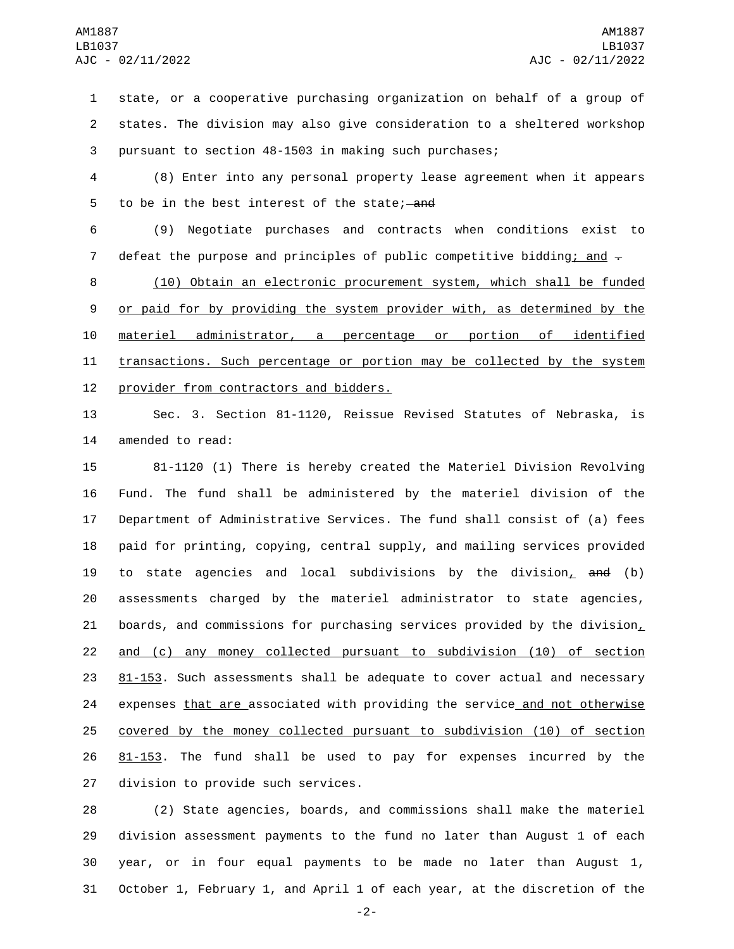1 state, or a cooperative purchasing organization on behalf of a group of 2 states. The division may also give consideration to a sheltered workshop 3 pursuant to section 48-1503 in making such purchases;

4 (8) Enter into any personal property lease agreement when it appears 5 to be in the best interest of the state; and

6 (9) Negotiate purchases and contracts when conditions exist to 7 defeat the purpose and principles of public competitive bidding; and  $\pm$ 

8 (10) Obtain an electronic procurement system, which shall be funded 9 or paid for by providing the system provider with, as determined by the 10 materiel administrator, a percentage or portion of identified 11 transactions. Such percentage or portion may be collected by the system 12 provider from contractors and bidders.

13 Sec. 3. Section 81-1120, Reissue Revised Statutes of Nebraska, is 14 amended to read:

 81-1120 (1) There is hereby created the Materiel Division Revolving Fund. The fund shall be administered by the materiel division of the Department of Administrative Services. The fund shall consist of (a) fees paid for printing, copying, central supply, and mailing services provided 19 to state agencies and local subdivisions by the division, and (b) assessments charged by the materiel administrator to state agencies, 21 boards, and commissions for purchasing services provided by the division $<sub>L</sub>$ </sub> and (c) any money collected pursuant to subdivision (10) of section 81-153. Such assessments shall be adequate to cover actual and necessary 24 expenses that are associated with providing the service and not otherwise covered by the money collected pursuant to subdivision (10) of section 81-153. The fund shall be used to pay for expenses incurred by the 27 division to provide such services.

 (2) State agencies, boards, and commissions shall make the materiel division assessment payments to the fund no later than August 1 of each year, or in four equal payments to be made no later than August 1, October 1, February 1, and April 1 of each year, at the discretion of the

-2-